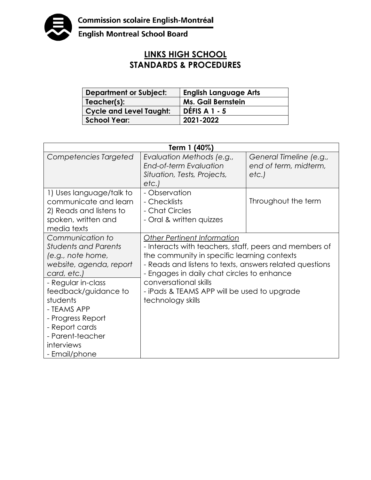

English Montreal School Board

## **LINKS HIGH SCHOOL STANDARDS & PROCEDURES**

| <b>Department or Subject:</b>  | <b>English Language Arts</b> |
|--------------------------------|------------------------------|
| Teacher(s):                    | <b>Ms. Gail Bernstein</b>    |
| <b>Cycle and Level Taught:</b> | DÉFIS A $1 - 5$              |
| <b>School Year:</b>            | 2021-2022                    |

| Term 1 (40%)                                                                                                       |                                                                                                                                                                                                                                               |                                                          |  |
|--------------------------------------------------------------------------------------------------------------------|-----------------------------------------------------------------------------------------------------------------------------------------------------------------------------------------------------------------------------------------------|----------------------------------------------------------|--|
| Competencies Targeted                                                                                              | Evaluation Methods (e.g.,<br>End-of-term Evaluation<br>Situation, Tests, Projects,<br>etc.                                                                                                                                                    | General Timeline (e.g.,<br>end of term, midterm,<br>etc. |  |
| 1) Uses language/talk to<br>communicate and learn<br>2) Reads and listens to<br>spoken, written and<br>media texts | - Observation<br>- Checklists<br>- Chat Circles<br>- Oral & written quizzes                                                                                                                                                                   | Throughout the term                                      |  |
| Communication to<br><b>Students and Parents</b><br>(e.g., note home,<br>website, agenda, report<br>card, etc.)     | Other Pertinent Information<br>- Interacts with teachers, staff, peers and members of<br>the community in specific learning contexts<br>- Reads and listens to texts, answers related questions<br>- Engages in daily chat circles to enhance |                                                          |  |
| - Regular in-class<br>feedback/guidance to<br>students<br>- TEAMS APP<br>- Progress Report<br>- Report cards       | conversational skills<br>- iPads & TEAMS APP will be used to upgrade<br>technology skills                                                                                                                                                     |                                                          |  |
| - Parent-teacher<br>interviews<br>- Email/phone                                                                    |                                                                                                                                                                                                                                               |                                                          |  |